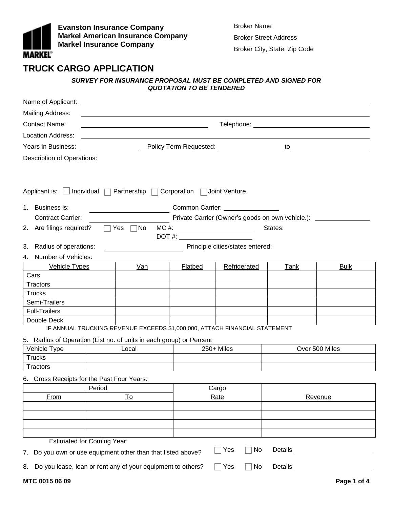

**Evanston Insurance Company Markel American Insurance Company Markel Insurance Company**

Broker Name Broker Street Address Broker City, State, Zip Code

# **TRUCK CARGO APPLICATION**

## *SURVEY FOR INSURANCE PROPOSAL MUST BE COMPLETED AND SIGNED FOR QUOTATION TO BE TENDERED*

| Name of Applicant:                                                                          |                      | <u> 1980 - Johann Stein, marwolaethau a bhann an t-Amhair ann an t-Amhair an t-Amhair an t-Amhair an t-Amhair an</u> |         |                                                                                                                                                                                                                                |                                                        |                                                                                                                                                                                                                                      |  |
|---------------------------------------------------------------------------------------------|----------------------|----------------------------------------------------------------------------------------------------------------------|---------|--------------------------------------------------------------------------------------------------------------------------------------------------------------------------------------------------------------------------------|--------------------------------------------------------|--------------------------------------------------------------------------------------------------------------------------------------------------------------------------------------------------------------------------------------|--|
| Mailing Address:                                                                            |                      |                                                                                                                      |         |                                                                                                                                                                                                                                |                                                        |                                                                                                                                                                                                                                      |  |
| <b>Contact Name:</b>                                                                        |                      |                                                                                                                      |         |                                                                                                                                                                                                                                |                                                        |                                                                                                                                                                                                                                      |  |
| Location Address:                                                                           |                      |                                                                                                                      |         |                                                                                                                                                                                                                                |                                                        |                                                                                                                                                                                                                                      |  |
| Years in Business:                                                                          |                      |                                                                                                                      |         |                                                                                                                                                                                                                                |                                                        |                                                                                                                                                                                                                                      |  |
| <b>Description of Operations:</b>                                                           |                      |                                                                                                                      |         |                                                                                                                                                                                                                                |                                                        |                                                                                                                                                                                                                                      |  |
|                                                                                             |                      |                                                                                                                      |         |                                                                                                                                                                                                                                |                                                        |                                                                                                                                                                                                                                      |  |
|                                                                                             |                      |                                                                                                                      |         |                                                                                                                                                                                                                                |                                                        |                                                                                                                                                                                                                                      |  |
| Applicant is: $\Box$ Individual $\Box$ Partnership $\Box$ Corporation $\Box$ Joint Venture. |                      |                                                                                                                      |         |                                                                                                                                                                                                                                |                                                        |                                                                                                                                                                                                                                      |  |
| Business is:<br>1.                                                                          |                      |                                                                                                                      |         | Common Carrier: \\square\\square\\square\\square\\square\\square\\square\\square\\square\\square\\square\\square\\square\\square\\square\\square\\square\\square\\square\\square\\square\\square\\square\\square\\square\\squa |                                                        |                                                                                                                                                                                                                                      |  |
| <b>Contract Carrier:</b>                                                                    |                      |                                                                                                                      |         |                                                                                                                                                                                                                                | Private Carrier (Owner's goods on own vehicle.): _____ |                                                                                                                                                                                                                                      |  |
| Are filings required?<br>2.                                                                 |                      | $\sqsupset$ Yes<br>$\Box$ No                                                                                         | $MC$ #: |                                                                                                                                                                                                                                | States:                                                |                                                                                                                                                                                                                                      |  |
|                                                                                             |                      |                                                                                                                      |         |                                                                                                                                                                                                                                |                                                        |                                                                                                                                                                                                                                      |  |
| Radius of operations:<br>3.                                                                 |                      |                                                                                                                      |         | Principle cities/states entered:                                                                                                                                                                                               |                                                        |                                                                                                                                                                                                                                      |  |
| Number of Vehicles:<br>4.                                                                   |                      |                                                                                                                      |         |                                                                                                                                                                                                                                |                                                        |                                                                                                                                                                                                                                      |  |
| <b>Vehicle Types</b>                                                                        |                      | Van                                                                                                                  | Flatbed | Refrigerated                                                                                                                                                                                                                   | Tank                                                   | <b>Bulk</b>                                                                                                                                                                                                                          |  |
| Cars                                                                                        |                      |                                                                                                                      |         |                                                                                                                                                                                                                                |                                                        |                                                                                                                                                                                                                                      |  |
| Tractors                                                                                    |                      |                                                                                                                      |         |                                                                                                                                                                                                                                |                                                        |                                                                                                                                                                                                                                      |  |
| <b>Trucks</b>                                                                               |                      |                                                                                                                      |         |                                                                                                                                                                                                                                |                                                        |                                                                                                                                                                                                                                      |  |
| Semi-Trailers                                                                               |                      |                                                                                                                      |         |                                                                                                                                                                                                                                |                                                        |                                                                                                                                                                                                                                      |  |
| Double Deck                                                                                 | <b>Full-Trailers</b> |                                                                                                                      |         |                                                                                                                                                                                                                                |                                                        |                                                                                                                                                                                                                                      |  |
|                                                                                             |                      | IF ANNUAL TRUCKING REVENUE EXCEEDS \$1,000,000, ATTACH FINANCIAL STATEMENT                                           |         |                                                                                                                                                                                                                                |                                                        |                                                                                                                                                                                                                                      |  |
| 5. Radius of Operation (List no. of units in each group) or Percent                         |                      |                                                                                                                      |         |                                                                                                                                                                                                                                |                                                        |                                                                                                                                                                                                                                      |  |
| Vehicle Type                                                                                |                      | Local                                                                                                                |         | $250 +$ Miles                                                                                                                                                                                                                  |                                                        | Over 500 Miles                                                                                                                                                                                                                       |  |
| <b>Trucks</b>                                                                               |                      |                                                                                                                      |         |                                                                                                                                                                                                                                |                                                        |                                                                                                                                                                                                                                      |  |
| Tractors                                                                                    |                      |                                                                                                                      |         |                                                                                                                                                                                                                                |                                                        |                                                                                                                                                                                                                                      |  |
| 6. Gross Receipts for the Past Four Years:                                                  |                      |                                                                                                                      |         |                                                                                                                                                                                                                                |                                                        |                                                                                                                                                                                                                                      |  |
| <b>Period</b> Period                                                                        |                      |                                                                                                                      |         | Cargo                                                                                                                                                                                                                          |                                                        |                                                                                                                                                                                                                                      |  |
| <u>To</u><br>From                                                                           |                      |                                                                                                                      |         | Rate                                                                                                                                                                                                                           | Revenue                                                |                                                                                                                                                                                                                                      |  |
|                                                                                             |                      |                                                                                                                      |         |                                                                                                                                                                                                                                |                                                        |                                                                                                                                                                                                                                      |  |
|                                                                                             |                      |                                                                                                                      |         |                                                                                                                                                                                                                                |                                                        |                                                                                                                                                                                                                                      |  |
|                                                                                             |                      |                                                                                                                      |         |                                                                                                                                                                                                                                |                                                        |                                                                                                                                                                                                                                      |  |
| <b>Estimated for Coming Year:</b>                                                           |                      |                                                                                                                      |         |                                                                                                                                                                                                                                |                                                        |                                                                                                                                                                                                                                      |  |
| Do you own or use equipment other than that listed above?<br>7.                             |                      |                                                                                                                      |         | No<br>Yes                                                                                                                                                                                                                      |                                                        | Details <u>example and the set of the set of the set of the set of the set of the set of the set of the set of the set of the set of the set of the set of the set of the set of the set of the set of the set of the set of the</u> |  |
| 8.                                                                                          |                      | Do you lease, loan or rent any of your equipment to others?                                                          |         | No<br>Yes                                                                                                                                                                                                                      | Details ____                                           |                                                                                                                                                                                                                                      |  |
| MTC 0015 06 09                                                                              |                      |                                                                                                                      |         |                                                                                                                                                                                                                                |                                                        | Page 1 of 4                                                                                                                                                                                                                          |  |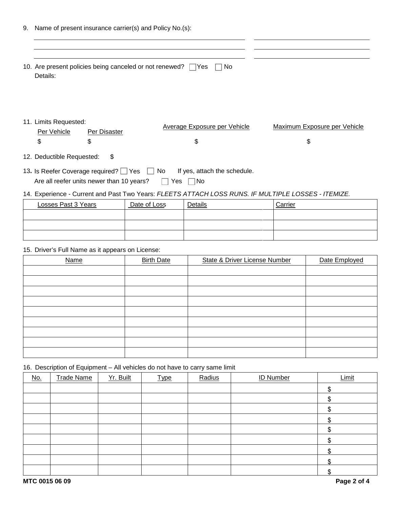|                       | Name of present insurance carrier(s) and Policy No.(s): |                                                                     |                              |
|-----------------------|---------------------------------------------------------|---------------------------------------------------------------------|------------------------------|
| Details:              |                                                         | 10. Are present policies being canceled or not renewed? TYes<br>No. |                              |
|                       |                                                         |                                                                     |                              |
| 11. Limits Requested: |                                                         | Average Exposure per Vehicle                                        | Maximum Exposure per Vehicle |

13. Is Reefer Coverage required? Yes No If yes, attach the schedule. Are all reefer units newer than 10 years?  $\Box$  Yes  $\Box$  No

### 14. Experience - Current and Past Two Years: *FLEETS ATTACH LOSS RUNS. IF MULTIPLE LOSSES - ITEMIZE.*

| Losses Past 3 Years | Date of Loss | Details | Carrier |
|---------------------|--------------|---------|---------|
|                     |              |         |         |
|                     |              |         |         |
|                     |              |         |         |

15. Driver's Full Name as it appears on License:

| <b>Name</b> | <b>Birth Date</b> | <b>State &amp; Driver License Number</b> | Date Employed |
|-------------|-------------------|------------------------------------------|---------------|
|             |                   |                                          |               |
|             |                   |                                          |               |
|             |                   |                                          |               |
|             |                   |                                          |               |
|             |                   |                                          |               |
|             |                   |                                          |               |
|             |                   |                                          |               |
|             |                   |                                          |               |
|             |                   |                                          |               |

16. Description of Equipment – All vehicles do not have to carry same limit

| <u>No.</u> | <b>Trade Name</b> | Yr. Built | <b>Type</b> | Radius | <b>ID Number</b> | Limit |
|------------|-------------------|-----------|-------------|--------|------------------|-------|
|            |                   |           |             |        |                  | ¢     |
|            |                   |           |             |        |                  |       |
|            |                   |           |             |        |                  | J     |
|            |                   |           |             |        |                  |       |
|            |                   |           |             |        |                  | ¢     |
|            |                   |           |             |        |                  |       |
|            |                   |           |             |        |                  |       |
|            |                   |           |             |        |                  |       |
|            |                   |           |             |        |                  |       |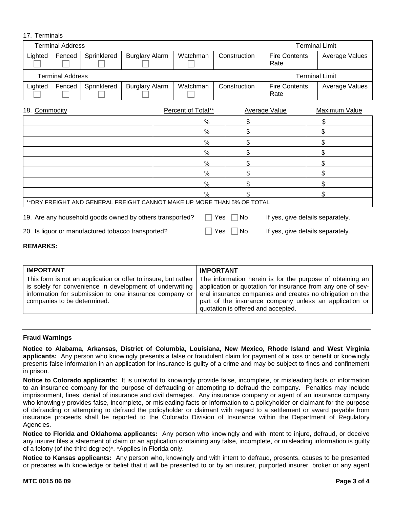## 17. Terminals

| <b>Terminal Address</b>                                                      |        |             |                       |               |               |     | <b>Terminal Limit</b>                        |                              |                                  |
|------------------------------------------------------------------------------|--------|-------------|-----------------------|---------------|---------------|-----|----------------------------------------------|------------------------------|----------------------------------|
| Lighted                                                                      | Fenced | Sprinklered | <b>Burglary Alarm</b> |               | Watchman      |     | Construction                                 | <b>Fire Contents</b><br>Rate | Average Values                   |
| <b>Terminal Address</b>                                                      |        |             |                       |               |               |     |                                              |                              | <b>Terminal Limit</b>            |
| Lighted                                                                      | Fenced | Sprinklered | <b>Burglary Alarm</b> |               | Watchman      |     | <b>Fire Contents</b><br>Construction<br>Rate |                              | Average Values                   |
| 18. Commodity<br>Percent of Total**<br><b>Average Value</b><br>Maximum Value |        |             |                       |               |               |     |                                              |                              |                                  |
|                                                                              |        |             |                       |               | $\%$          |     | \$                                           |                              | \$                               |
|                                                                              |        |             |                       |               | $\frac{0}{0}$ |     | \$                                           |                              | \$                               |
|                                                                              |        |             | $\%$                  |               | \$            |     | \$                                           |                              |                                  |
|                                                                              |        |             |                       | $\%$          |               | \$  |                                              | \$                           |                                  |
|                                                                              |        |             | %                     |               | \$            |     | \$                                           |                              |                                  |
|                                                                              |        |             |                       | $\frac{0}{0}$ |               | \$  |                                              | \$                           |                                  |
|                                                                              |        |             |                       |               | $\%$          |     | \$                                           |                              | \$                               |
|                                                                              |        |             |                       |               | $\frac{0}{0}$ |     |                                              |                              | \$                               |
| ** DRY FREIGHT AND GENERAL FREIGHT CANNOT MAKE UP MORE THAN 5% OF TOTAL      |        |             |                       |               |               |     |                                              |                              |                                  |
| 19. Are any household goods owned by others transported?                     |        |             |                       |               |               | Yes | No                                           |                              | If yes, give details separately. |
| 20. Is liquor or manufactured tobacco transported?                           |        |             |                       |               |               | Yes | No.                                          |                              | If yes, give details separately. |

#### **REMARKS:**

| <b>IMPORTANT</b>                                                                                                                                  | <b>IMPORTANT</b>                                                                                                                                                                                                                                                                                                                                                     |
|---------------------------------------------------------------------------------------------------------------------------------------------------|----------------------------------------------------------------------------------------------------------------------------------------------------------------------------------------------------------------------------------------------------------------------------------------------------------------------------------------------------------------------|
| is solely for convenience in development of underwriting<br>information for submission to one insurance company or<br>companies to be determined. | This form is not an application or offer to insure, but rather $\vert$ The information herein is for the purpose of obtaining an $\vert$<br>application or quotation for insurance from any one of sev-<br>eral insurance companies and creates no obligation on the<br>part of the insurance company unless an application or<br>quotation is offered and accepted. |

#### **Fraud Warnings**

**Notice to Alabama, Arkansas, District of Columbia, Louisiana, New Mexico, Rhode Island and West Virginia applicants:** Any person who knowingly presents a false or fraudulent claim for payment of a loss or benefit or knowingly presents false information in an application for insurance is guilty of a crime and may be subject to fines and confinement in prison.

**Notice to Colorado applicants:** It is unlawful to knowingly provide false, incomplete, or misleading facts or information to an insurance company for the purpose of defrauding or attempting to defraud the company. Penalties may include imprisonment, fines, denial of insurance and civil damages. Any insurance company or agent of an insurance company who knowingly provides false, incomplete, or misleading facts or information to a policyholder or claimant for the purpose of defrauding or attempting to defraud the policyholder or claimant with regard to a settlement or award payable from insurance proceeds shall be reported to the Colorado Division of Insurance within the Department of Regulatory Agencies.

**Notice to Florida and Oklahoma applicants:** Any person who knowingly and with intent to injure, defraud, or deceive any insurer files a statement of claim or an application containing any false, incomplete, or misleading information is guilty of a felony (of the third degree)\*. \*Applies in Florida only.

**Notice to Kansas applicants:** Any person who, knowingly and with intent to defraud, presents, causes to be presented or prepares with knowledge or belief that it will be presented to or by an insurer, purported insurer, broker or any agent